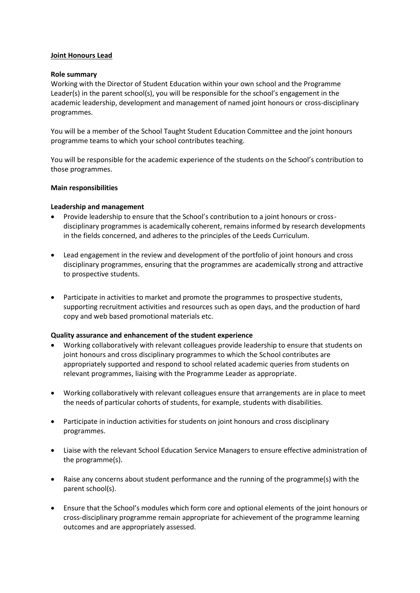# **Joint Honours Lead**

#### **Role summary**

Working with the Director of Student Education within your own school and the Programme Leader(s) in the parent school(s), you will be responsible for the school's engagement in the academic leadership, development and management of named joint honours or cross-disciplinary programmes.

You will be a member of the School Taught Student Education Committee and the joint honours programme teams to which your school contributes teaching.

You will be responsible for the academic experience of the students on the School's contribution to those programmes.

### **Main responsibilities**

### **Leadership and management**

- Provide leadership to ensure that the School's contribution to a joint honours or crossdisciplinary programmes is academically coherent, remains informed by research developments in the fields concerned, and adheres to the principles of the Leeds Curriculum.
- Lead engagement in the review and development of the portfolio of joint honours and cross disciplinary programmes, ensuring that the programmes are academically strong and attractive to prospective students.
- Participate in activities to market and promote the programmes to prospective students, supporting recruitment activities and resources such as open days, and the production of hard copy and web based promotional materials etc.

# **Quality assurance and enhancement of the student experience**

- Working collaboratively with relevant colleagues provide leadership to ensure that students on joint honours and cross disciplinary programmes to which the School contributes are appropriately supported and respond to school related academic queries from students on relevant programmes, liaising with the Programme Leader as appropriate.
- Working collaboratively with relevant colleagues ensure that arrangements are in place to meet the needs of particular cohorts of students, for example, students with disabilities.
- Participate in induction activities for students on joint honours and cross disciplinary programmes.
- Liaise with the relevant School Education Service Managers to ensure effective administration of the programme(s).
- Raise any concerns about student performance and the running of the programme(s) with the parent school(s).
- Ensure that the School's modules which form core and optional elements of the joint honours or cross-disciplinary programme remain appropriate for achievement of the programme learning outcomes and are appropriately assessed.